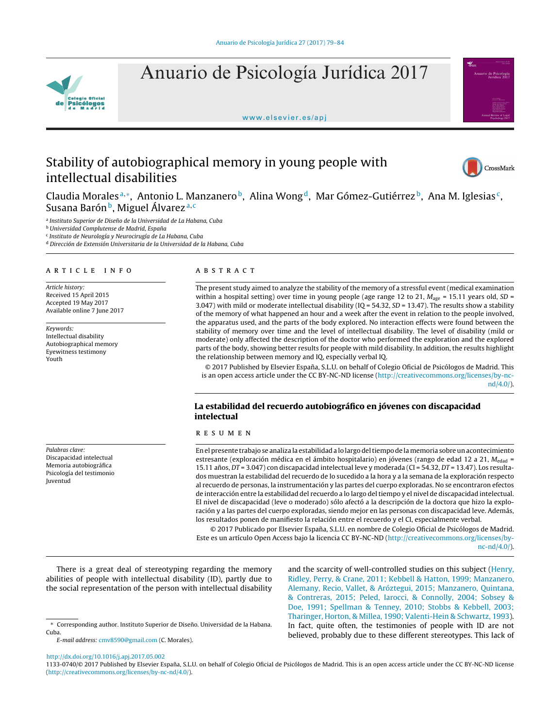

Anuario de Psicología Jurídica 2017



# <www.elsevier.es/apj>

# Stability of autobiographical memory in young people with intellectual disabilities



Claudia Morales a,\*, Antonio L. Manzanero <sup>b</sup>, Alina Wong <sup>d</sup>, Mar Gómez-Gutiérrez <sup>b</sup>, Ana M. Iglesias c, Susana Barón<sup>b</sup>, Miguel Álvarez<sup>a, c</sup>

<sup>a</sup> Instituto Superior de Diseño de la Universidad de La Habana, Cuba

<sup>b</sup> Universidad Complutense de Madrid, España

<sup>c</sup> Instituto de Neurología y Neurocirugía de La Habana, Cuba

<sup>d</sup> Dirección de Extensión Universitaria de la Universidad de la Habana, Cuba

# a r t i c l e i n f o

Article history: Received 15 April 2015 Accepted 19 May 2017 Available online 7 June 2017

Keywords: Intellectual disability Autobiographical memory Eyewitness testimony Youth

Palabras clave: Discapacidad intelectual Memoria autobiográfica Psicología del testimonio Juventud

# A B S T R A C T

The present study aimed to analyze the stability of the memory of a stressful event (medical examination within a hospital setting) over time in young people (age range 12 to 21,  $M_{\text{age}} = 15.11$  years old, SD = 3.047) with mild or moderate intellectual disability ( $IQ = 54.32$ ,  $SD = 13.47$ ). The results show a stability of the memory of what happened an hour and a week after the event in relation to the people involved, the apparatus used, and the parts of the body explored. No interaction effects were found between the stability of memory over time and the level of intellectual disability. The level of disability (mild or moderate) only affected the description of the doctor who performed the exploration and the explored parts of the body, showing better results for people with mild disability. In addition, the results highlight the relationship between memory and IQ, especially verbal IQ.

© 2017 Published by Elsevier España, S.L.U. on behalf of Colegio Oficial de Psicólogos de Madrid. This is an open access article under the CC BY-NC-ND license [\(http://creativecommons.org/licenses/by-nc](http://creativecommons.org/licenses/by-nc-nd/4.0/)[nd/4.0/](http://creativecommons.org/licenses/by-nc-nd/4.0/)).

# **La estabilidad del recuerdo autobiográfico en jóvenes con discapacidad intelectual**

# r e s u m e n

En el presente trabajo se analiza la estabilidad a lo largo del tiempo de la memoria sobre un acontecimiento estresante (exploración médica en el ámbito hospitalario) en jóvenes (rango de edad 12 a 21, M<sub>edad</sub> = 15.11 años, DT = 3.047) con discapacidad intelectual leve y moderada (CI = 54.32, DT = 13.47). Los resultados muestran la estabilidad del recuerdo de lo sucedido a la hora y a la semana de la exploración respecto al recuerdo de personas, la instrumentación y las partes del cuerpo exploradas. No se encontraron efectos de interacción entre la estabilidad del recuerdo a lo largo deltiempo y el nivel de discapacidad intelectual. El nivel de discapacidad (leve o moderado) sólo afectó a la descripción de la doctora que hizo la exploración y a las partes del cuerpo exploradas, siendo mejor en las personas con discapacidad leve. Además, los resultados ponen de manifiesto la relación entre el recuerdo y el CI, especialmente verbal.

© 2017 Publicado por Elsevier España, S.L.U. en nombre de Colegio Oficial de Psicólogos de Madrid. Este es un artículo Open Access bajo la licencia CC BY-NC-ND [\(http://creativecommons.org/licenses/by](http://creativecommons.org/licenses/by-nc-nd/4.0/)[nc-nd/4.0/](http://creativecommons.org/licenses/by-nc-nd/4.0/)).

There is a great deal of stereotyping regarding the memory abilities of people with intellectual disability (ID), partly due to the social representation of the person with intellectual disability

E-mail address: [cmv8590@gmail.com](mailto:cmv8590@gmail.com) (C. Morales).

and the scarcity of well-controlled studies on this subject [\(Henry,](#page-5-0) [Ridley,](#page-5-0) [Perry,](#page-5-0) [&](#page-5-0) [Crane,](#page-5-0) [2011;](#page-5-0) [Kebbell](#page-5-0) [&](#page-5-0) [Hatton,](#page-5-0) [1999;](#page-5-0) [Manzanero,](#page-5-0) [Alemany,](#page-5-0) [Recio,](#page-5-0) [Vallet,](#page-5-0) [&](#page-5-0) [Aróztegui,](#page-5-0) [2015;](#page-5-0) [Manzanero,](#page-5-0) [Quintana,](#page-5-0) [&](#page-5-0) [Contreras,](#page-5-0) [2015;](#page-5-0) [Peled,](#page-5-0) [Iarocci,](#page-5-0) [&](#page-5-0) [Connolly,](#page-5-0) [2004;](#page-5-0) [Sobsey](#page-5-0) [&](#page-5-0) [Doe,](#page-5-0) [1991;](#page-5-0) [Spellman](#page-5-0) [&](#page-5-0) [Tenney,](#page-5-0) [2010;](#page-5-0) [Stobbs](#page-5-0) [&](#page-5-0) [Kebbell,](#page-5-0) [2003;](#page-5-0) [Tharinger,](#page-5-0) [Horton,](#page-5-0) [&](#page-5-0) [Millea,](#page-5-0) [1990;](#page-5-0) [Valenti-Hein](#page-5-0) [&](#page-5-0) [Schwartz,](#page-5-0) [1993\).](#page-5-0) In fact, quite often, the testimonies of people with ID are not believed, probably due to these different stereotypes. This lack of

[http://dx.doi.org/10.1016/j.apj.2017.05.002](dx.doi.org/10.1016/j.apj.2017.05.002)

<sup>∗</sup> Corresponding author. Instituto Superior de Diseno. ˜ Universidad de la Habana. Cuba.

<sup>1133-0740/© 2017</sup> Published by Elsevier España, S.L.U. on behalf of Colegio Oficial de Psicólogos de Madrid. This is an open access article under the CC BY-NC-ND license [\(http://creativecommons.org/licenses/by-nc-nd/4.0/\)](http://creativecommons.org/licenses/by-nc-nd/4.0/).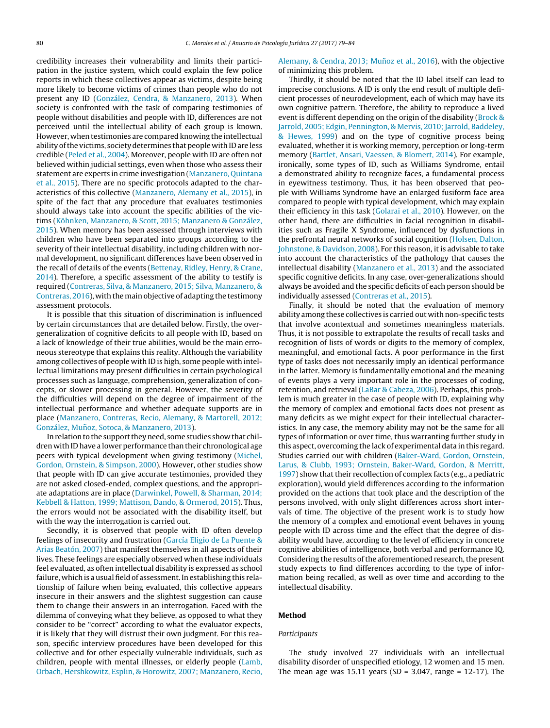credibility increases their vulnerability and limits their participation in the justice system, which could explain the few police reports in which these collectives appear as victims, despite being more likely to become victims of crimes than people who do not present any ID ([González,](#page-5-0) [Cendra,](#page-5-0) [&](#page-5-0) [Manzanero,](#page-5-0) [2013\).](#page-5-0) When society is confronted with the task of comparing testimonies of people without disabilities and people with ID, differences are not perceived until the intellectual ability of each group is known. However, when testimonies are compared knowing the intellectual ability of the victims, society determines that people with ID are less credible [\(Peled](#page-5-0) et [al.,](#page-5-0) [2004\).](#page-5-0) Moreover, people with ID are often not believed within judicial settings, even when those who assess their statement are experts in crime investigation ([Manzanero,](#page-5-0) [Quintana](#page-5-0) et [al.,](#page-5-0) [2015\).](#page-5-0) There are no specific protocols adapted to the characteristics of this collective [\(Manzanero,](#page-5-0) [Alemany](#page-5-0) et [al.,](#page-5-0) [2015\),](#page-5-0) in spite of the fact that any procedure that evaluates testimonies should always take into account the specific abilities of the victims ([Köhnken,](#page-5-0) [Manzanero,](#page-5-0) [&](#page-5-0) [Scott,](#page-5-0) [2015;](#page-5-0) [Manzanero](#page-5-0) [&](#page-5-0) [González,](#page-5-0) [2015\).](#page-5-0) When memory has been assessed through interviews with children who have been separated into groups according to the severity of their intellectual disability, including children with normal development, no significant differences have been observed in the recall of details of the events [\(Bettenay,](#page-4-0) [Ridley,](#page-4-0) [Henry,](#page-4-0) [&](#page-4-0) [Crane,](#page-4-0) [2014\).](#page-4-0) Therefore, a specific assessment of the ability to testify is required [\(Contreras,](#page-4-0) [Silva,](#page-4-0) [&](#page-4-0) [Manzanero,](#page-4-0) [2015;](#page-4-0) [Silva,](#page-4-0) [Manzanero,](#page-4-0) [&](#page-4-0) [Contreras,](#page-4-0) [2016\),](#page-4-0) with the main objective of adapting the testimony assessment protocols.

It is possible that this situation of discrimination is influenced by certain circumstances that are detailed below. Firstly, the overgeneralization of cognitive deficits to all people with ID, based on a lack of knowledge of their true abilities, would be the main erroneous stereotype that explains this reality. Although the variability among collectives of people with ID is high, some people with intellectual limitations may present difficulties in certain psychological processes such as language, comprehension, generalization of concepts, or slower processing in general. However, the severity of the difficulties will depend on the degree of impairment of the intellectual performance and whether adequate supports are in place ([Manzanero,](#page-5-0) [Contreras,](#page-5-0) [Recio,](#page-5-0) [Alemany,](#page-5-0) [&](#page-5-0) [Martorell,](#page-5-0) [2012;](#page-5-0) [González,](#page-5-0) Muñoz, [Sotoca,](#page-5-0) [&](#page-5-0) [Manzanero,](#page-5-0) [2013\).](#page-5-0)

In relation to the support they need, some studies show that children with ID have a lower performance than their chronological age peers with typical development when giving testimony [\(Michel,](#page-5-0) [Gordon,](#page-5-0) [Ornstein,](#page-5-0) [&](#page-5-0) [Simpson,](#page-5-0) [2000\).](#page-5-0) However, other studies show that people with ID can give accurate testimonies, provided they are not asked closed-ended, complex questions, and the appropriate adaptations are in place ([Darwinkel,](#page-4-0) [Powell,](#page-4-0) [&](#page-4-0) [Sharman,](#page-4-0) [2014;](#page-4-0) [Kebbell](#page-4-0) [&](#page-4-0) [Hatton,](#page-4-0) [1999;](#page-4-0) [Mattison,](#page-4-0) [Dando,](#page-4-0) [&](#page-4-0) [Ormerod,](#page-4-0) [2015\).](#page-4-0) Thus, the errors would not be associated with the disability itself, but with the way the interrogation is carried out.

Secondly, it is observed that people with ID often develop feelings of insecurity and frustration ([García](#page-5-0) [Eligio](#page-5-0) [de](#page-5-0) [La](#page-5-0) [Puente](#page-5-0) [&](#page-5-0) [Arias](#page-5-0) [Beatón,](#page-5-0) [2007\)](#page-5-0) that manifest themselves in all aspects of their lives. These feelings are especially observed when these individuals feel evaluated, as often intellectual disability is expressed as school failure, which is a usual field of assessment. In establishing this relationship of failure when being evaluated, this collective appears insecure in their answers and the slightest suggestion can cause them to change their answers in an interrogation. Faced with the dilemma of conveying what they believe, as opposed to what they consider to be "correct" according to what the evaluator expects, it is likely that they will distrust their own judgment. For this reason, specific interview procedures have been developed for this collective and for other especially vulnerable individuals, such as children, people with mental illnesses, or elderly people ([Lamb,](#page-5-0) [Orbach,](#page-5-0) [Hershkowitz,](#page-5-0) [Esplin,](#page-5-0) [&](#page-5-0) [Horowitz,](#page-5-0) [2007;](#page-5-0) [Manzanero,](#page-5-0) [Recio,](#page-5-0)

[Alemany,](#page-5-0) [&](#page-5-0) [Cendra,](#page-5-0) [2013;](#page-5-0) Muñoz et [al.,](#page-5-0) [2016\),](#page-5-0) with the objective of minimizing this problem.

Thirdly, it should be noted that the ID label itself can lead to imprecise conclusions. A ID is only the end result of multiple deficient processes of neurodevelopment, each of which may have its own cognitive pattern. Therefore, the ability to reproduce a lived event is different depending on the origin of the disability ([Brock](#page-4-0) [&](#page-4-0) [Jarrold,](#page-4-0) [2005;](#page-4-0) [Edgin,](#page-4-0) [Pennington,](#page-4-0) [&](#page-4-0) [Mervis,](#page-4-0) [2010;](#page-4-0) [Jarrold,](#page-4-0) [Baddeley,](#page-4-0) [&](#page-4-0) [Hewes,](#page-4-0) [1999\)](#page-4-0) and on the type of cognitive process being evaluated, whether it is working memory, perception or long-term memory [\(Bartlet,](#page-4-0) [Ansari,](#page-4-0) [Vaessen,](#page-4-0) [&](#page-4-0) [Blomert,](#page-4-0) [2014\).](#page-4-0) For example, ironically, some types of ID, such as Williams Syndrome, entail a demonstrated ability to recognize faces, a fundamental process in eyewitness testimony. Thus, it has been observed that people with Williams Syndrome have an enlarged fusiform face area compared to people with typical development, which may explain their efficiency in this task [\(Golarai](#page-5-0) et [al.,](#page-5-0) [2010\).](#page-5-0) However, on the other hand, there are difficulties in facial recognition in disabilities such as Fragile X Syndrome, influenced by dysfunctions in the prefrontal neural networks of social cognition [\(Holsen,](#page-5-0) [Dalton,](#page-5-0) [Johnstone,](#page-5-0) [&](#page-5-0) [Davidson,](#page-5-0) [2008\).](#page-5-0) For this reason, it is advisable to take into account the characteristics of the pathology that causes the intellectual disability [\(Manzanero](#page-5-0) et [al.,](#page-5-0) [2013\)](#page-5-0) and the associated specific cognitive deficits. In any case, over-generalizations should always be avoided and the specific deficits of each person should be individually assessed ([Contreras](#page-4-0) et [al.,](#page-4-0) [2015\).](#page-4-0)

Finally, it should be noted that the evaluation of memory ability among these collectives is carried out with non-specific tests that involve acontextual and sometimes meaningless materials. Thus, it is not possible to extrapolate the results of recall tasks and recognition of lists of words or digits to the memory of complex, meaningful, and emotional facts. A poor performance in the first type of tasks does not necessarily imply an identical performance in the latter. Memory is fundamentally emotional and the meaning of events plays a very important role in the processes of coding, retention, and retrieval [\(LaBar](#page-5-0) [&](#page-5-0) [Cabeza,](#page-5-0) [2006\).](#page-5-0) Perhaps, this problem is much greater in the case of people with ID, explaining why the memory of complex and emotional facts does not present as many deficits as we might expect for their intellectual characteristics. In any case, the memory ability may not be the same for all types of information or over time, thus warranting further study in this aspect, overcoming the lack of experimental data in this regard. Studies carried out with children [\(Baker-Ward,](#page-4-0) [Gordon,](#page-4-0) [Ornstein,](#page-4-0) [Larus,](#page-4-0) [&](#page-4-0) [Clubb,](#page-4-0) [1993;](#page-4-0) [Ornstein,](#page-4-0) [Baker-Ward,](#page-4-0) [Gordon,](#page-4-0) [&](#page-4-0) [Merritt,](#page-4-0) [1997\)](#page-4-0) show that their recollection of complex facts (e.g., a pediatric exploration), would yield differences according to the information provided on the actions that took place and the description of the persons involved, with only slight differences across short intervals of time. The objective of the present work is to study how the memory of a complex and emotional event behaves in young people with ID across time and the effect that the degree of disability would have, according to the level of efficiency in concrete cognitive abilities of intelligence, both verbal and performance IQ. Considering the results of the aforementioned research, the present study expects to find differences according to the type of information being recalled, as well as over time and according to the intellectual disability.

#### **Method**

## Participants

The study involved 27 individuals with an intellectual disability disorder of unspecified etiology, 12 women and 15 men. The mean age was 15.11 years ( $SD = 3.047$ , range = 12-17). The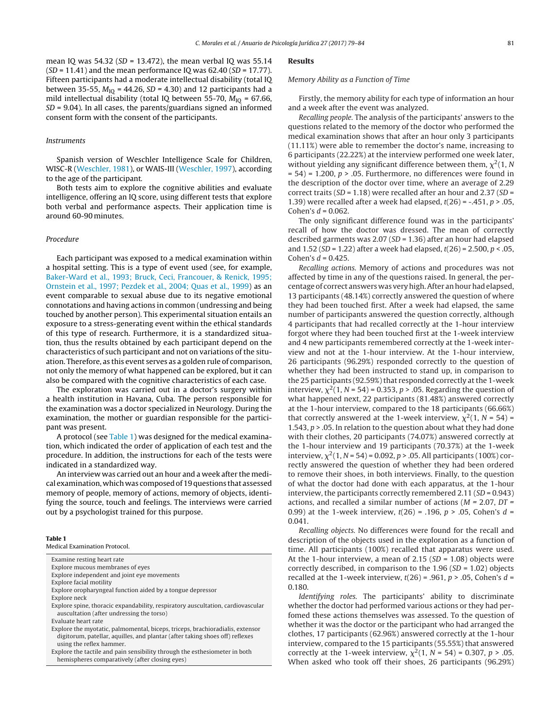mean IQ was 54.32 ( $SD = 13.472$ ), the mean verbal IQ was 55.14  $(SD = 11.41)$  and the mean performance IQ was 62.40  $(SD = 17.77)$ . Fifteen participants had a moderate intellectual disability (total IQ between 35-55,  $M_{10}$  = 44.26, SD = 4.30) and 12 participants had a mild intellectual disability (total IQ between 55-70,  $M_{\text{IO}}$  = 67.66,  $SD = 9.04$ ). In all cases, the parents/guardians signed an informed consent form with the consent of the participants.

## Instruments

Spanish version of Weschler Intelligence Scale for Children, WISC-R ([Weschler,](#page-5-0) [1981\),](#page-5-0) or WAIS-III ([Weschler,](#page-5-0) [1997\),](#page-5-0) according to the age of the participant.

Both tests aim to explore the cognitive abilities and evaluate intelligence, offering an IQ score, using different tests that explore both verbal and performance aspects. Their application time is around 60-90 minutes.

#### Procedure

Each participant was exposed to a medical examination within a hospital setting. This is a type of event used (see, for example, [Baker-Ward](#page-4-0) et [al.,](#page-4-0) [1993;](#page-4-0) [Bruck,](#page-4-0) [Ceci,](#page-4-0) [Francouer,](#page-4-0) [&](#page-4-0) [Renick,](#page-4-0) [1995;](#page-4-0) [Ornstein](#page-4-0) et [al.,](#page-4-0) [1997;](#page-4-0) [Pezdek](#page-4-0) et [al.,](#page-4-0) [2004;](#page-4-0) [Quas](#page-4-0) et [al.,](#page-4-0) [1999\)](#page-4-0) as an event comparable to sexual abuse due to its negative emotional connotations and having actions in common (undressing and being touched by another person). This experimental situation entails an exposure to a stress-generating event within the ethical standards of this type of research. Furthermore, it is a standardized situation, thus the results obtained by each participant depend on the characteristics of such participant and not on variations of the situation. Therefore, as this event serves as a golden rule of comparison, not only the memory of what happened can be explored, but it can also be compared with the cognitive characteristics of each case.

The exploration was carried out in a doctor's surgery within a health institution in Havana, Cuba. The person responsible for the examination was a doctor specialized in Neurology. During the examination, the mother or guardian responsible for the participant was present.

A protocol (see Table 1) was designed for the medical examination, which indicated the order of application of each test and the procedure. In addition, the instructions for each of the tests were indicated in a standardized way.

An interview was carried out an hour and a week after the medical examination, which was composedof 19questions that assessed memory of people, memory of actions, memory of objects, identifying the source, touch and feelings. The interviews were carried out by a psychologist trained for this purpose.

#### **Table 1**

Medical Examination Protocol.

| Examine resting heart rate |  |
|----------------------------|--|
|----------------------------|--|

Explore mucous membranes of eyes

Explore independent and joint eye movements

Explore facial motility

- Explore oropharyngeal function aided by a tongue depressor Explore neck
- Explore spine, thoracic expandability, respiratory auscultation, cardiovascular auscultation (after undressing the torso)

Evaluate heart rate

- Explore the myotatic, palmomental, biceps, triceps, brachioradialis, extensor digitorum, patellar, aquilles, and plantar (after taking shoes off) reflexes using the reflex hammer.
- Explore the tactile and pain sensibility through the esthesiometer in both hemispheres comparatively (after closing eyes)

#### **Results**

## Memory Ability as a Function of Time

Firstly, the memory ability for each type of information an hour and a week after the event was analyzed.

Recalling people. The analysis of the participants' answers to the questions related to the memory of the doctor who performed the medical examination shows that after an hour only 3 participants (11.11%) were able to remember the doctor's name, increasing to 6 participants (22.22%) at the interview performed one week later, without yielding any significant difference between them,  $\chi^2(1, N)$  $= 54$ ) = 1.200,  $p > .05$ . Furthermore, no differences were found in the description of the doctor over time, where an average of 2.29 correct traits ( $SD = 1.18$ ) were recalled after an hour and 2.37 ( $SD =$ 1.39) were recalled after a week had elapsed,  $t(26) = -.451$ ,  $p > .05$ , Cohen's  $d = 0.062$ .

The only significant difference found was in the participants' recall of how the doctor was dressed. The mean of correctly described garments was 2.07 (SD = 1.36) after an hour had elapsed and 1.52 (SD = 1.22) after a week had elapsed,  $t(26)$  = 2.500,  $p < .05$ , Cohen's  $d = 0.425$ .

Recalling actions. Memory of actions and procedures was not affected by time in any of the questions raised. In general, the percentage of correct answers was veryhigh.After anhourhadelapsed, 13 participants (48.14%) correctly answered the question of where they had been touched first. After a week had elapsed, the same number of participants answered the question correctly, although 4 participants that had recalled correctly at the 1-hour interview forgot where they had been touched first at the 1-week interview and 4 new participants remembered correctly at the 1-week interview and not at the 1-hour interview. At the 1-hour interview, 26 participants (96.29%) responded correctly to the question of whether they had been instructed to stand up, in comparison to the 25 participants (92.59%) that responded correctly at the 1-week interview,  $\chi^2(1, N = 54) = 0.353$ ,  $p > .05$ . Regarding the question of what happened next, 22 participants (81.48%) answered correctly at the 1-hour interview, compared to the 18 participants (66.66%) that correctly answered at the 1-week interview,  $\chi^2(1, N = 54)$  = 1.543,  $p > 0.05$ . In relation to the question about what they had done with their clothes, 20 participants (74.07%) answered correctly at the 1-hour interview and 19 participants (70.37%) at the 1-week interview,  $\chi^2(1, N = 54) = 0.092$ ,  $p > .05$ . All participants (100%) correctly answered the question of whether they had been ordered to remove their shoes, in both interviews. Finally, to the question of what the doctor had done with each apparatus, at the 1-hour interview, the participants correctly remembered 2.11 (SD = 0.943) actions, and recalled a similar number of actions ( $M = 2.07$ ,  $DT =$ 0.99) at the 1-week interview,  $t(26) = .196$ ,  $p > .05$ , Cohen's  $d =$ 0.041.

Recalling objects. No differences were found for the recall and description of the objects used in the exploration as a function of time. All participants (100%) recalled that apparatus were used. At the 1-hour interview, a mean of 2.15 ( $SD = 1.08$ ) objects were correctly described, in comparison to the  $1.96$  (SD =  $1.02$ ) objects recalled at the 1-week interview,  $t(26)$  = .961,  $p > .05$ , Cohen's  $d =$ 0.180.

Identifying roles. The participants' ability to discriminate whether the doctor had performed various actions or they had perfomed these actions themselves was assessed. To the question of whether it was the doctor or the participant who had arranged the clothes, 17 participants (62.96%) answered correctly at the 1-hour interview, compared to the 15 participants (55.55%) that answered correctly at the 1-week interview,  $\chi^2(1, N = 54) = 0.307$ ,  $p > .05$ . When asked who took off their shoes, 26 participants (96.29%)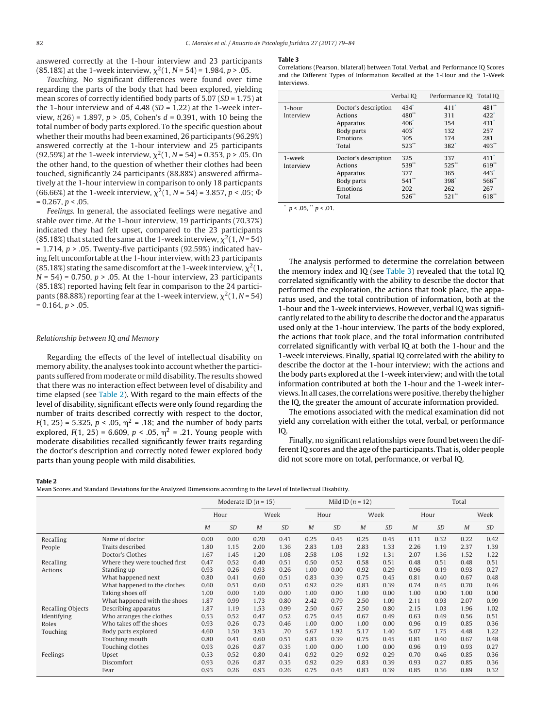answered correctly at the 1-hour interview and 23 participants (85.18%) at the 1-week interview,  $\chi^2(1, N = 54)$  = 1.984, p > .05.

Touching. No significant differences were found over time regarding the parts of the body that had been explored, yielding mean scores of correctly identified body parts of 5.07 (SD = 1.75) at the 1-hour interview and of 4.48 ( $SD = 1.22$ ) at the 1-week interview,  $t(26) = 1.897$ ,  $p > .05$ , Cohen's  $d = 0.391$ , with 10 being the total number of body parts explored. To the specific question about whether their mouths had been examined, 26 participants (96.29%) answered correctly at the 1-hour interview and 25 participants (92.59%) at the 1-week interview,  $\chi^2(1, N = 54)$  = 0.353, p > .05. On the other hand, to the question of whether their clothes had been touched, significantly 24 participants (88.88%) answered affirmatively at the 1-hour interview in comparison to only 18 particpants (66.66%) at the 1-week interview,  $\chi^2(1, N = 54)$  = 3.857, p < .05;  $\Phi$  $= 0.267, p < .05.$ 

Feelings. In general, the associated feelings were negative and stable over time. At the 1-hour interview, 19 participants (70.37%) indicated they had felt upset, compared to the 23 participants (85.18%) that stated the same at the 1-week interview,  $\chi^2(1,N$  = 54)  $= 1.714$ ,  $p > .05$ . Twenty-five participants (92.59%) indicated having felt uncomfortable at the 1-hour interview, with 23 participants (85.18%) stating the same discomfort at the 1-week interview,  $\chi^2(1,$  $N = 54$ ) = 0.750,  $p > .05$ . At the 1-hour interview, 23 participants (85.18%) reported having felt fear in comparison to the 24 participants (88.88%) reporting fear at the 1-week interview,  $\chi^2$ (1, N = 54)  $= 0.164, p > .05.$ 

## Relationship between IQ and Memory

Regarding the effects of the level of intellectual disability on memory ability, the analyses took into account whether the participants suffered from moderate or mild disability. The results showed that there was no interaction effect between level of disability and time elapsed (see Table 2). With regard to the main effects of the level of disability, significant effects were only found regarding the number of traits described correctly with respect to the doctor,  $F(1, 25) = 5.325$ ,  $p < .05$ ,  $\eta^2 = .18$ ; and the number of body parts explored,  $F(1, 25) = 6.609$ ,  $p < .05$ ,  $\eta^2 = .21$ . Young people with moderate disabilities recalled significantly fewer traits regarding the doctor's description and correctly noted fewer explored body parts than young people with mild disabilities.

#### **Table 2**

Mean Scores and Standard Deviations for the Analyzed Dimensions according to the Level of Intellectual Disability.

|                   |                               | Moderate ID $(n = 15)$ |                              |      | Mild ID $(n = 12)$ |      |           |      | Total     |      |           |      |           |
|-------------------|-------------------------------|------------------------|------------------------------|------|--------------------|------|-----------|------|-----------|------|-----------|------|-----------|
|                   |                               |                        | Week<br>Week<br>Hour<br>Hour |      |                    | Hour |           | Week |           |      |           |      |           |
|                   |                               | M                      | <b>SD</b>                    | M    | <b>SD</b>          | M    | <b>SD</b> | M    | <b>SD</b> | M    | <b>SD</b> | M    | <b>SD</b> |
| Recalling         | Name of doctor                | 0.00                   | 0.00                         | 0.20 | 0.41               | 0.25 | 0.45      | 0.25 | 0.45      | 0.11 | 0.32      | 0.22 | 0.42      |
| People            | Traits described              | 1.80                   | 1.15                         | 2.00 | 1.36               | 2.83 | 1.03      | 2.83 | 1.33      | 2.26 | 1.19      | 2.37 | 1.39      |
|                   | Doctor's Clothes              | 1.67                   | 1.45                         | 1.20 | 1.08               | 2.58 | 1.08      | 1.92 | 1.31      | 2.07 | 1.36      | 1.52 | 1.22      |
| Recalling         | Where they were touched first | 0.47                   | 0.52                         | 0.40 | 0.51               | 0.50 | 0.52      | 0.58 | 0.51      | 0.48 | 0.51      | 0.48 | 0.51      |
| <b>Actions</b>    | Standing up                   | 0.93                   | 0.26                         | 0.93 | 0.26               | 1.00 | 0.00      | 0.92 | 0.29      | 0.96 | 0.19      | 0.93 | 0.27      |
|                   | What happened next            | 0.80                   | 0.41                         | 0.60 | 0.51               | 0.83 | 0.39      | 0.75 | 0.45      | 0.81 | 0.40      | 0.67 | 0.48      |
|                   | What happened to the clothes  | 0.60                   | 0.51                         | 0.60 | 0.51               | 0.92 | 0.29      | 0.83 | 0.39      | 0.74 | 0.45      | 0.70 | 0.46      |
|                   | Taking shoes off              | 1.00                   | 0.00                         | 1.00 | 0.00               | 1.00 | 0.00      | 1.00 | 0.00      | 1.00 | 0.00      | 1.00 | 0.00      |
|                   | What happened with the shoes  | 1.87                   | 0.99                         | 1.73 | 0.80               | 2.42 | 0.79      | 2.50 | 1.09      | 2.11 | 0.93      | 2.07 | 0.99      |
| Recalling Objects | Describing apparatus          | 1.87                   | 1.19                         | 1.53 | 0.99               | 2.50 | 0.67      | 2.50 | 0.80      | 2.15 | 1.03      | 1.96 | 1.02      |
| Identifying       | Who arranges the clothes      | 0.53                   | 0.52                         | 0.47 | 0.52               | 0.75 | 0.45      | 0.67 | 0.49      | 0.63 | 0.49      | 0.56 | 0.51      |
| Roles             | Who takes off the shoes       | 0.93                   | 0.26                         | 0.73 | 0.46               | 1.00 | 0.00      | 1.00 | 0.00      | 0.96 | 0.19      | 0.85 | 0.36      |
| Touching          | Body parts explored           | 4.60                   | 1.50                         | 3.93 | .70                | 5.67 | 1.92      | 5.17 | 1.40      | 5.07 | 1.75      | 4.48 | 1.22      |
|                   | Touching mouth                | 0.80                   | 0.41                         | 0.60 | 0.51               | 0.83 | 0.39      | 0.75 | 0.45      | 0.81 | 0.40      | 0.67 | 0.48      |
|                   | Touching clothes              | 0.93                   | 0.26                         | 0.87 | 0.35               | 1.00 | 0.00      | 1.00 | 0.00      | 0.96 | 0.19      | 0.93 | 0.27      |
| Feelings          | Upset                         | 0.53                   | 0.52                         | 0.80 | 0.41               | 0.92 | 0.29      | 0.92 | 0.29      | 0.70 | 0.46      | 0.85 | 0.36      |
|                   | Discomfort                    | 0.93                   | 0.26                         | 0.87 | 0.35               | 0.92 | 0.29      | 0.83 | 0.39      | 0.93 | 0.27      | 0.85 | 0.36      |
|                   | Fear                          | 0.93                   | 0.26                         | 0.93 | 0.26               | 0.75 | 0.45      | 0.83 | 0.39      | 0.85 | 0.36      | 0.89 | 0.32      |

Correlations (Pearson, bilateral) between Total, Verbal, and Performance IQ Scores and the Different Types of Information Recalled at the 1-Hour and the 1-Week Interviews.

|           |                      | Verbal IQ           | Performance IQ Total IQ |                    |
|-----------|----------------------|---------------------|-------------------------|--------------------|
| 1-hour    | Doctor's description | 434                 | $411$ <sup>*</sup>      | 481**              |
| Interview | Actions              | $480^{**}$          | 311                     | $422$ <sup>*</sup> |
|           | Apparatus            | $406^\degree$       | 354                     | 431                |
|           | Body parts           | $403^{\degree}$     | 132                     | 257                |
|           | Emotions             | 305                 | 174                     | 281                |
|           | Total                | $523$ <sup>**</sup> | $382^*$                 | 493                |
| 1-week    | Doctor's description | 325                 | 337                     | $411$ <sup>*</sup> |
| Interview | Actions              | $539^{**}$          | $525$ **                | $619**$            |
|           | Apparatus            | 377                 | 365                     | 443"               |
|           | Body parts           | $541**$             | $398^{\degree}$         | $566$ **           |
|           | Emotions             | 202                 | 262                     | 267                |
|           | Total                | $526^{**}$          | $521^\circ$             | 618                |

 $p < .05$ ,  $p < .01$ .

The analysis performed to determine the correlation between the memory index and IQ (see Table 3) revealed that the total IQ correlated significantly with the ability to describe the doctor that performed the exploration, the actions that took place, the apparatus used, and the total contribution of information, both at the 1-hour and the 1-week interviews. However, verbal IQ was significantly related to the ability to describe the doctor and the apparatus used only at the 1-hour interview. The parts of the body explored, the actions that took place, and the total information contributed correlated significantly with verbal IQ at both the 1-hour and the 1-week interviews. Finally, spatial IQ correlated with the ability to describe the doctor at the 1-hour interview; with the actions and the body parts explored at the 1-week interview; and with the total information contributed at both the 1-hour and the 1-week interviews. In all cases, the correlations were positive, thereby the higher the IQ, the greater the amount of accurate information provided.

The emotions associated with the medical examination did not yield any correlation with either the total, verbal, or performance IQ.

Finally, no significant relationships were found between the different IQ scores and the age of the participants. That is, older people did not score more on total, performance, or verbal IQ.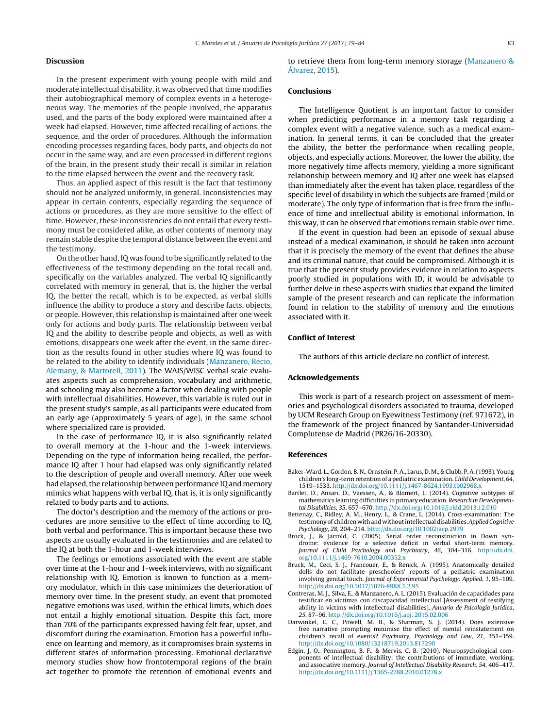#### <span id="page-4-0"></span>**Discussion**

In the present experiment with young people with mild and moderate intellectual disability, it was observed that time modifies their autobiographical memory of complex events in a heterogeneous way. The memories of the people involved, the apparatus used, and the parts of the body explored were maintained after a week had elapsed. However, time affected recalling of actions, the sequence, and the order of procedures. Although the information encoding processes regarding faces, body parts, and objects do not occur in the same way, and are even processed in different regions of the brain, in the present study their recall is similar in relation to the time elapsed between the event and the recovery task.

Thus, an applied aspect of this result is the fact that testimony should not be analyzed uniformly, in general. Inconsistencies may appear in certain contents, especially regarding the sequence of actions or procedures, as they are more sensitive to the effect of time. However, these inconsistencies do not entail that every testimony must be considered alike, as other contents of memory may remain stable despite the temporal distance between the event and the testimony.

On the other hand, IQ was found to be significantly related to the effectiveness of the testimony depending on the total recall and, specifically on the variables analyzed. The verbal IQ significantly correlated with memory in general, that is, the higher the verbal IQ, the better the recall, which is to be expected, as verbal skills influence the ability to produce a story and describe facts, objects, or people. However, this relationship is maintained after one week only for actions and body parts. The relationship between verbal IQ and the ability to describe people and objects, as well as with emotions, disappears one week after the event, in the same direction as the results found in other studies where IQ was found to be related to the ability to identify individuals [\(Manzanero,](#page-5-0) [Recio,](#page-5-0) [Alemany,](#page-5-0) [&](#page-5-0) [Martorell,](#page-5-0) [2011\).](#page-5-0) The WAIS/WISC verbal scale evaluates aspects such as comprehension, vocabulary and arithmetic, and schooling may also become a factor when dealing with people with intellectual disabilities. However, this variable is ruled out in the present study's sample, as all participants were educated from an early age (approximately 5 years of age), in the same school where specialized care is provided.

In the case of performance IQ, it is also significantly related to overall memory at the 1-hour and the 1-week interviews. Depending on the type of information being recalled, the performance IQ after 1 hour had elapsed was only significantly related to the description of people and overall memory. After one week had elapsed, the relationship between performance IQ and memory mimics what happens with verbal IQ, that is, it is only significantly related to body parts and to actions.

The doctor's description and the memory of the actions or procedures are more sensitive to the effect of time according to IQ, both verbal and performance. This is important because these two aspects are usually evaluated in the testimonies and are related to the IQ at both the 1-hour and 1-week interviews.

The feelings or emotions associated with the event are stable over time at the 1-hour and 1-week interviews, with no significant relationship with IQ. Emotion is known to function as a memory modulator, which in this case minimizes the deterioration of memory over time. In the present study, an event that promoted negative emotions was used, within the ethical limits, which does not entail a highly emotional situation. Despite this fact, more than 70% of the participants expressed having felt fear, upset, and discomfort during the examination. Emotion has a powerful influence on learning and memory, as it compromises brain systems in different states of information processing. Emotional declarative memory studies show how frontotemporal regions of the brain act together to promote the retention of emotional events and

to retrieve them from long-term memory storage [\(Manzanero](#page-5-0) [&](#page-5-0) [Álvarez,](#page-5-0) [2015\).](#page-5-0)

# **Conclusions**

The Intelligence Quotient is an important factor to consider when predicting performance in a memory task regarding a complex event with a negative valence, such as a medical examination. In general terms, it can be concluded that the greater the ability, the better the performance when recalling people, objects, and especially actions. Moreover, the lower the ability, the more negatively time affects memory, yielding a more significant relationship between memory and IQ after one week has elapsed than immediately after the event has taken place, regardless of the specific level of disability in which the subjects are framed (mild or moderate). The only type of information that is free from the influence of time and intellectual ability is emotional information. In this way, it can be observed that emotions remain stable over time.

If the event in question had been an episode of sexual abuse instead of a medical examination, it should be taken into account that it is precisely the memory of the event that defines the abuse and its criminal nature, that could be compromised. Although it is true that the present study provides evidence in relation to aspects poorly studied in populations with ID, it would be advisable to further delve in these aspects with studies that expand the limited sample of the present research and can replicate the information found in relation to the stability of memory and the emotions associated with it.

# **Conflict of Interest**

The authors of this article declare no conflict of interest.

## **Acknowledgements**

This work is part of a research project on assessment of memories and psychological disorders associated to trauma, developed by UCM Research Group on Eyewitness Testimony (ref. 971672), in the framework of the project financed by Santander-Universidad Complutense de Madrid (PR26/16-20330).

# **References**

- Baker-Ward, L., Gordon, B. N., Ornstein, P. A., Larus, D. M., & Clubb, P. A.(1993). Young children's long-term retention of a pediatric examination. Child Development, 64, 1519–1533. [http://dx.doi.org/10.1111/j.1467-8624.1993.tb02968.x](dx.doi.org/10.1111/j.1467-8624.1993.tb02968.x)
- Bartlet, D., Ansari, D., Vaessen, A., & Blomert, L. (2014). Cognitive subtypes of mathematics learning difficulties in primary education. Research in Developmental Disabilities, 35, 657–670. [http://dx.doi.org/10.1016/j.ridd.2013.12.010](dx.doi.org/10.1016/j.ridd.2013.12.010)
- Bettenay, C., Ridley, A. M., Henry, L., & Crane, L. (2014). Cross-examination: The testimony of children with and without intellectual disabilities. Applied Cognitive Psychology, 28, 204–214. [http://dx.doi.org/10.1002/acp.2979](dx.doi.org/10.1002/acp.2979)
- Brock, J., & Jarrold, C. (2005). Serial order reconstruction in Down syndrome: evidence for a selective deficit in verbal short-term memory. Journal of Child Psychology and Psychiatry, 46, 304–316. [http://dx.doi.](dx.doi.org/10.1111/j.1469-7610.2004.00352.x) [org/10.1111/j.1469-7610.2004.00352.x](dx.doi.org/10.1111/j.1469-7610.2004.00352.x)
- Bruck, M., Ceci, S. J., Francouer, E., & Renick, A. (1995). Anatomically detailed dolls do not facilitate preschoolers' reports of a pediatric examination involving genital touch. Journal of Experimental Psychology: Applied, 1, 95–109. [http://dx.doi.org/10.1037/1076-898X.1.2.95](dx.doi.org/10.1037/1076-898X.1.2.95)
- Contreras, M. J., Silva, E., & Manzanero, A. L. (2015). Evaluación de capacidades para testificar en víctimas con discapacidad intellectual [Assessment of testifying ability in victims with intellectual disabilities]. Anuario de Psicología Jurídica, 25, 87–96. [http://dx.doi.org/10.1016/j.apj.](dx.doi.org/10.1016/j.apj. 2015.02.006) 2015.02.006
- Darwinkel, E. C., Powell, M. B., & Sharman, S. J. (2014). Does extensive free narrative prompting minimise the effect of mental reinstatement on children's recall of events? Psychiatry, Psychology and Law, 21, 351–359. [http://dx.doi.org/10.1080/13218719.2013.817290](dx.doi.org/10.1080/13218719.2013.817290)
- Edgin, J. O., Pennington, B. F., & Mervis, C. B. (2010). Neuropsychological components of intellectual disability: the contributions of immediate, working, and associative memory. Journal of Intellectual Disability Research, 54, 406–417. [http://dx.doi.org/10.1111/j.1365-2788.2010.01278.x](dx.doi.org/10.1111/j.1365-2788.2010.01278.x)